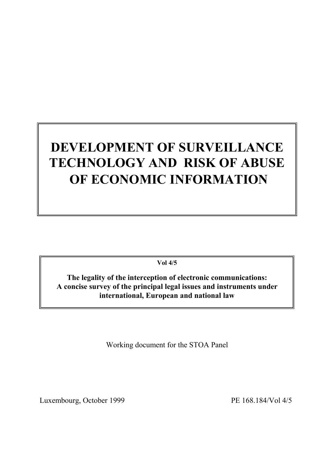# **DEVELOPMENT OF SURVEILLANCE TECHNOLOGY AND RISK OF ABUSE OF ECONOMIC INFORMATION**

**Vol 4/5**

**The legality of the interception of electronic communications: A concise survey of the principal legal issues and instruments under international, European and national law**

Working document for the STOA Panel

Luxembourg, October 1999 PE 168.184/Vol 4/5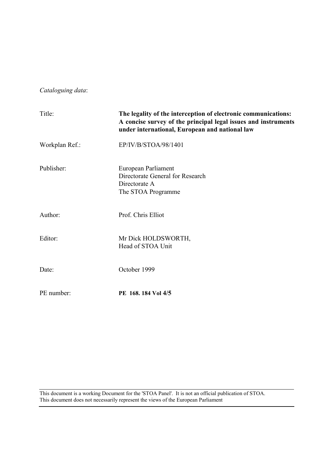*Cataloguing data*:

| Title:         | The legality of the interception of electronic communications:<br>A concise survey of the principal legal issues and instruments<br>under international, European and national law |  |
|----------------|------------------------------------------------------------------------------------------------------------------------------------------------------------------------------------|--|
| Workplan Ref.: | EP/IV/B/STOA/98/1401                                                                                                                                                               |  |
| Publisher:     | European Parliament<br>Directorate General for Research<br>Directorate A<br>The STOA Programme                                                                                     |  |
| Author:        | Prof. Chris Elliot                                                                                                                                                                 |  |
| Editor:        | Mr Dick HOLDSWORTH,<br>Head of STOA Unit                                                                                                                                           |  |
| Date:          | October 1999                                                                                                                                                                       |  |
| PE number:     | PE 168, 184 Vol 4/5                                                                                                                                                                |  |

This document is a working Document for the 'STOA Panel'. It is not an official publication of STOA. This document does not necessarily represent the views of the European Parliament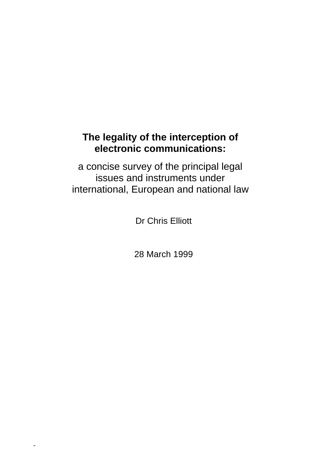# **The legality of the interception of electronic communications:**

a concise survey of the principal legal issues and instruments under international, European and national law

Dr Chris Elliott

28 March 1999

-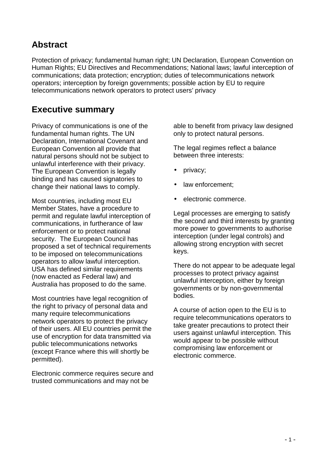# **Abstract**

Protection of privacy; fundamental human right; UN Declaration, European Convention on Human Rights; EU Directives and Recommendations; National laws; lawful interception of communications; data protection; encryption; duties of telecommunications network operators; interception by foreign governments; possible action by EU to require telecommunications network operators to protect users' privacy

# **Executive summary**

Privacy of communications is one of the fundamental human rights. The UN Declaration, International Covenant and European Convention all provide that natural persons should not be subject to unlawful interference with their privacy. The European Convention is legally binding and has caused signatories to change their national laws to comply.

Most countries, including most EU Member States, have a procedure to permit and regulate lawful interception of communications, in furtherance of law enforcement or to protect national security. The European Council has proposed a set of technical requirements to be imposed on telecommunications operators to allow lawful interception. USA has defined similar requirements (now enacted as Federal law) and Australia has proposed to do the same.

Most countries have legal recognition of the right to privacy of personal data and many require telecommunications network operators to protect the privacy of their users. All EU countries permit the use of encryption for data transmitted via public telecommunications networks (except France where this will shortly be permitted).

Electronic commerce requires secure and trusted communications and may not be

able to benefit from privacy law designed only to protect natural persons.

The legal regimes reflect a balance between three interests:

- privacy;
- law enforcement;
- electronic commerce.

Legal processes are emerging to satisfy the second and third interests by granting more power to governments to authorise interception (under legal controls) and allowing strong encryption with secret keys.

There do not appear to be adequate legal processes to protect privacy against unlawful interception, either by foreign governments or by non-governmental bodies.

A course of action open to the EU is to require telecommunications operators to take greater precautions to protect their users against unlawful interception. This would appear to be possible without compromising law enforcement or electronic commerce.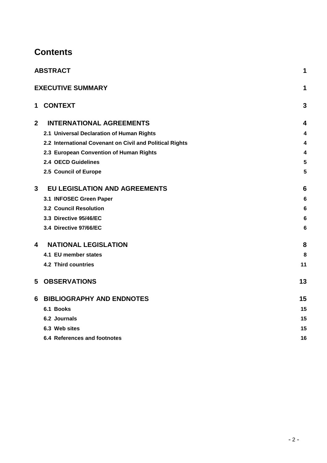# **Contents**

|                | <b>ABSTRACT</b>                                          | 1               |
|----------------|----------------------------------------------------------|-----------------|
|                | <b>EXECUTIVE SUMMARY</b>                                 | 1               |
| $\mathbf 1$    | <b>CONTEXT</b>                                           | 3               |
| $\overline{2}$ | <b>INTERNATIONAL AGREEMENTS</b>                          | 4               |
|                | 2.1 Universal Declaration of Human Rights                | 4               |
|                | 2.2 International Covenant on Civil and Political Rights | 4               |
|                | 2.3 European Convention of Human Rights                  | 4               |
|                | 2.4 OECD Guidelines                                      | 5               |
|                | 2.5 Council of Europe                                    | 5               |
| 3              | <b>EU LEGISLATION AND AGREEMENTS</b>                     | 6               |
|                | 3.1 INFOSEC Green Paper                                  | 6               |
|                | <b>3.2 Council Resolution</b>                            | 6               |
|                | 3.3 Directive 95/46/EC                                   | $6\phantom{1}6$ |
|                | 3.4 Directive 97/66/EC                                   | 6               |
| 4              | <b>NATIONAL LEGISLATION</b>                              | 8               |
|                | 4.1 EU member states                                     | 8               |
|                | 4.2 Third countries                                      | 11              |
| 5              | <b>OBSERVATIONS</b>                                      | 13              |
| 6              | <b>BIBLIOGRAPHY AND ENDNOTES</b>                         | 15              |
|                | 6.1 Books                                                | 15              |
|                | 6.2 Journals                                             | 15              |
|                | 6.3 Web sites                                            | 15              |
|                | 6.4 References and footnotes                             | 16              |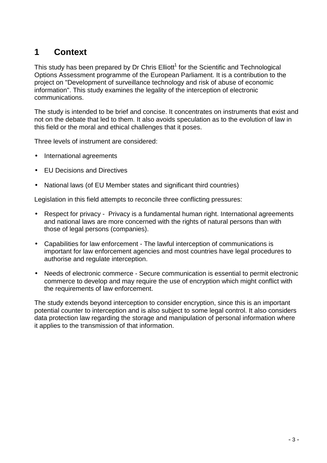# **1 Context**

This study has been prepared by Dr Chris Elliott<sup>1</sup> for the Scientific and Technological Options Assessment programme of the European Parliament. It is a contribution to the project on "Development of surveillance technology and risk of abuse of economic information". This study examines the legality of the interception of electronic communications.

The study is intended to be brief and concise. It concentrates on instruments that exist and not on the debate that led to them. It also avoids speculation as to the evolution of law in this field or the moral and ethical challenges that it poses.

Three levels of instrument are considered:

- International agreements
- EU Decisions and Directives
- National laws (of EU Member states and significant third countries)

Legislation in this field attempts to reconcile three conflicting pressures:

- Respect for privacy Privacy is a fundamental human right. International agreements and national laws are more concerned with the rights of natural persons than with those of legal persons (companies).
- Capabilities for law enforcement The lawful interception of communications is important for law enforcement agencies and most countries have legal procedures to authorise and regulate interception.
- Needs of electronic commerce Secure communication is essential to permit electronic commerce to develop and may require the use of encryption which might conflict with the requirements of law enforcement.

The study extends beyond interception to consider encryption, since this is an important potential counter to interception and is also subject to some legal control. It also considers data protection law regarding the storage and manipulation of personal information where it applies to the transmission of that information.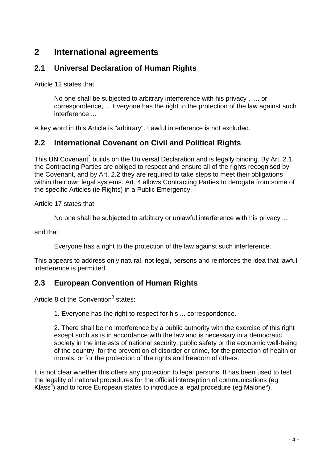# **2 International agreements**

### **2.1 Universal Declaration of Human Rights**

Article 12 states that

No one shall be subjected to arbitrary interference with his privacy , .... or correspondence, ... Everyone has the right to the protection of the law against such interference ...

A key word in this Article is "arbitrary". Lawful interference is not excluded.

### **2.2 International Covenant on Civil and Political Rights**

This UN Covenant<sup>2</sup> builds on the Universal Declaration and is legally binding. By Art. 2.1, the Contracting Parties are obliged to respect and ensure all of the rights recognised by the Covenant, and by Art. 2.2 they are required to take steps to meet their obligations within their own legal systems. Art. 4 allows Contracting Parties to derogate from some of the specific Articles (ie Rights) in a Public Emergency.

Article 17 states that:

No one shall be subjected to arbitrary or unlawful interference with his privacy ...

and that:

Everyone has a right to the protection of the law against such interference...

This appears to address only natural, not legal, persons and reinforces the idea that lawful interference is permitted.

### **2.3 European Convention of Human Rights**

Article 8 of the Convention<sup>3</sup> states:

1. Everyone has the right to respect for his ... correspondence.

2. There shall be no interference by a public authority with the exercise of this right except such as is in accordance with the law and is necessary in a democratic society in the interests of national security, public safety or the economic well-being of the country, for the prevention of disorder or crime, for the protection of health or morals, or for the protection of the rights and freedom of others.

It is not clear whether this offers any protection to legal persons. It has been used to test the legality of national procedures for the official interception of communications (eg Klass<sup>4</sup>) and to force European states to introduce a legal procedure (eg Malone<sup>5</sup>).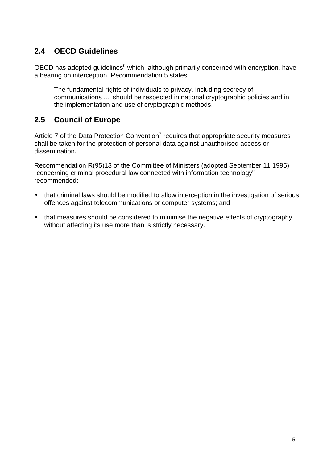# **2.4 OECD Guidelines**

OECD has adopted guidelines $^6$  which, although primarily concerned with encryption, have a bearing on interception. Recommendation 5 states:

The fundamental rights of individuals to privacy, including secrecy of communications ..., should be respected in national cryptographic policies and in the implementation and use of cryptographic methods.

# **2.5 Council of Europe**

Article 7 of the Data Protection Convention<sup>7</sup> requires that appropriate security measures shall be taken for the protection of personal data against unauthorised access or dissemination.

Recommendation R(95)13 of the Committee of Ministers (adopted September 11 1995) "concerning criminal procedural law connected with information technology" recommended:

- that criminal laws should be modified to allow interception in the investigation of serious offences against telecommunications or computer systems; and
- that measures should be considered to minimise the negative effects of cryptography without affecting its use more than is strictly necessary.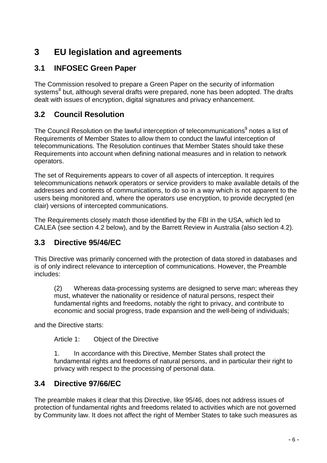# **3 EU legislation and agreements**

# **3.1 INFOSEC Green Paper**

The Commission resolved to prepare a Green Paper on the security of information systems<sup>8</sup> but, although several drafts were prepared, none has been adopted. The drafts dealt with issues of encryption, digital signatures and privacy enhancement.

### **3.2 Council Resolution**

The Council Resolution on the lawful interception of telecommunications<sup>9</sup> notes a list of Requirements of Member States to allow them to conduct the lawful interception of telecommunications. The Resolution continues that Member States should take these Requirements into account when defining national measures and in relation to network operators.

The set of Requirements appears to cover of all aspects of interception. It requires telecommunications network operators or service providers to make available details of the addresses and contents of communications, to do so in a way which is not apparent to the users being monitored and, where the operators use encryption, to provide decrypted (en clair) versions of intercepted communications.

The Requirements closely match those identified by the FBI in the USA, which led to CALEA (see section 4.2 below), and by the Barrett Review in Australia (also section 4.2).

## **3.3 Directive 95/46/EC**

This Directive was primarily concerned with the protection of data stored in databases and is of only indirect relevance to interception of communications. However, the Preamble includes:

(2) Whereas data-processing systems are designed to serve man; whereas they must, whatever the nationality or residence of natural persons, respect their fundamental rights and freedoms, notably the right to privacy, and contribute to economic and social progress, trade expansion and the well-being of individuals;

and the Directive starts:

Article 1: Object of the Directive

1. In accordance with this Directive, Member States shall protect the fundamental rights and freedoms of natural persons, and in particular their right to privacy with respect to the processing of personal data.

### **3.4 Directive 97/66/EC**

The preamble makes it clear that this Directive, like 95/46, does not address issues of protection of fundamental rights and freedoms related to activities which are not governed by Community law. It does not affect the right of Member States to take such measures as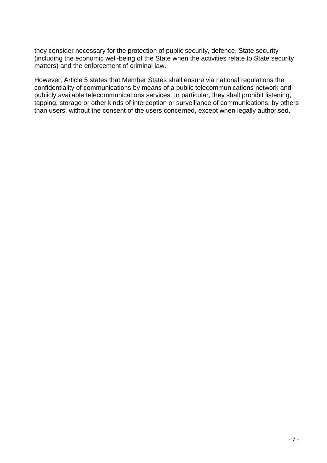they consider necessary for the protection of public security, defence, State security (including the economic well-being of the State when the activities relate to State security matters) and the enforcement of criminal law.

However, Article 5 states that Member States shall ensure via national regulations the confidentiality of communications by means of a public telecommunications network and publicly available telecommunications services. In particular, they shall prohibit listening, tapping, storage or other kinds of interception or surveillance of communications, by others than users, without the consent of the users concerned, except when legally authorised.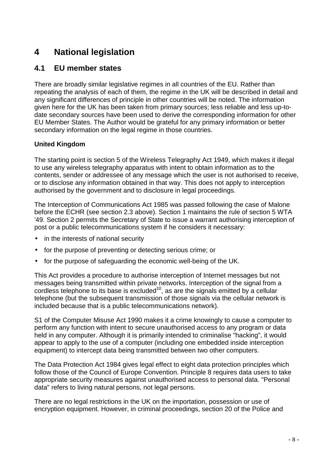# **4 National legislation**

### **4.1 EU member states**

There are broadly similar legislative regimes in all countries of the EU. Rather than repeating the analysis of each of them, the regime in the UK will be described in detail and any significant differences of principle in other countries will be noted. The information given here for the UK has been taken from primary sources; less reliable and less up-todate secondary sources have been used to derive the corresponding information for other EU Member States. The Author would be grateful for any primary information or better secondary information on the legal regime in those countries.

#### **United Kingdom**

The starting point is section 5 of the Wireless Telegraphy Act 1949, which makes it illegal to use any wireless telegraphy apparatus with intent to obtain information as to the contents, sender or addressee of any message which the user is not authorised to receive, or to disclose any information obtained in that way. This does not apply to interception authorised by the government and to disclosure in legal proceedings.

The Interception of Communications Act 1985 was passed following the case of Malone before the ECHR (see section 2.3 above). Section 1 maintains the rule of section 5 WTA '49. Section 2 permits the Secretary of State to issue a warrant authorising interception of post or a public telecommunications system if he considers it necessary:

- in the interests of national security
- for the purpose of preventing or detecting serious crime; or
- for the purpose of safeguarding the economic well-being of the UK.

This Act provides a procedure to authorise interception of Internet messages but not messages being transmitted within private networks. Interception of the signal from a cordless telephone to its base is excluded<sup>10</sup>, as are the signals emitted by a cellular telephone (but the subsequent transmission of those signals via the cellular network is included because that is a public telecommunications network).

S1 of the Computer Misuse Act 1990 makes it a crime knowingly to cause a computer to perform any function with intent to secure unauthorised access to any program or data held in any computer. Although it is primarily intended to criminalise "hacking", it would appear to apply to the use of a computer (including one embedded inside interception equipment) to intercept data being transmitted between two other computers.

The Data Protection Act 1984 gives legal effect to eight data protection principles which follow those of the Council of Europe Convention. Principle 8 requires data users to take appropriate security measures against unauthorised access to personal data. "Personal data" refers to living natural persons, not legal persons.

There are no legal restrictions in the UK on the importation, possession or use of encryption equipment. However, in criminal proceedings, section 20 of the Police and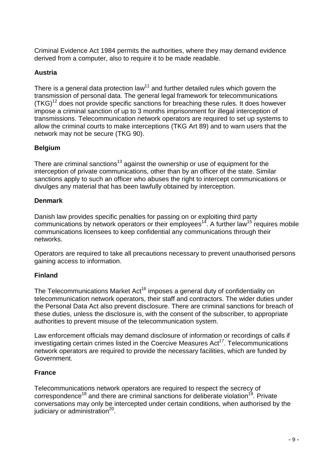Criminal Evidence Act 1984 permits the authorities, where they may demand evidence derived from a computer, also to require it to be made readable.

#### **Austria**

There is a general data protection law<sup>11</sup> and further detailed rules which govern the transmission of personal data. The general legal framework for telecommunications  $(TKG)^{12}$  does not provide specific sanctions for breaching these rules. It does however impose a criminal sanction of up to 3 months imprisonment for illegal interception of transmissions. Telecommunication network operators are required to set up systems to allow the criminal courts to make interceptions (TKG Art 89) and to warn users that the network may not be secure (TKG 90).

#### **Belgium**

There are criminal sanctions<sup>13</sup> against the ownership or use of equipment for the interception of private communications, other than by an officer of the state. Similar sanctions apply to such an officer who abuses the right to intercept communications or divulges any material that has been lawfully obtained by interception.

#### **Denmark**

Danish law provides specific penalties for passing on or exploiting third party communications by network operators or their employees<sup>14</sup>. A further law<sup>15</sup> requires mobile communications licensees to keep confidential any communications through their networks.

Operators are required to take all precautions necessary to prevent unauthorised persons gaining access to information.

#### **Finland**

The Telecommunications Market Act<sup>16</sup> imposes a general duty of confidentiality on telecommunication network operators, their staff and contractors. The wider duties under the Personal Data Act also prevent disclosure. There are criminal sanctions for breach of these duties, unless the disclosure is, with the consent of the subscriber, to appropriate authorities to prevent misuse of the telecommunication system.

Law enforcement officials may demand disclosure of information or recordings of calls if investigating certain crimes listed in the Coercive Measures  $Act^{17}$ . Telecommunications network operators are required to provide the necessary facilities, which are funded by Government.

#### **France**

Telecommunications network operators are required to respect the secrecy of correspondence<sup>18</sup> and there are criminal sanctions for deliberate violation<sup>19</sup>. Private conversations may only be intercepted under certain conditions, when authorised by the judiciary or administration $^{20}$ .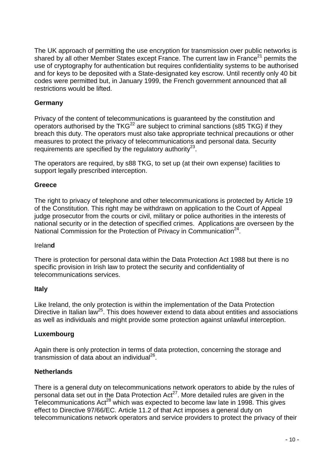The UK approach of permitting the use encryption for transmission over public networks is shared by all other Member States except France. The current law in France<sup>21</sup> permits the use of cryptography for authentication but requires confidentiality systems to be authorised and for keys to be deposited with a State-designated key escrow. Until recently only 40 bit codes were permitted but, in January 1999, the French government announced that all restrictions would be lifted.

#### **Germany**

Privacy of the content of telecommunications is guaranteed by the constitution and operators authorised by the TKG<sup>22</sup> are subject to criminal sanctions (s85 TKG) if they breach this duty. The operators must also take appropriate technical precautions or other measures to protect the privacy of telecommunications and personal data. Security requirements are specified by the regulatory authority<sup>23</sup>.

The operators are required, by s88 TKG, to set up (at their own expense) facilities to support legally prescribed interception.

#### **Greece**

The right to privacy of telephone and other telecommunications is protected by Article 19 of the Constitution. This right may be withdrawn on application to the Court of Appeal judge prosecutor from the courts or civil, military or police authorities in the interests of national security or in the detection of specified crimes. Applications are overseen by the National Commission for the Protection of Privacy in Communication<sup>24</sup>.

#### Irelan**d**

There is protection for personal data within the Data Protection Act 1988 but there is no specific provision in Irish law to protect the security and confidentiality of telecommunications services.

#### **Italy**

Like Ireland, the only protection is within the implementation of the Data Protection Directive in Italian law<sup>25</sup>. This does however extend to data about entities and associations as well as individuals and might provide some protection against unlawful interception.

#### **Luxembourg**

Again there is only protection in terms of data protection, concerning the storage and transmission of data about an individual<sup>26</sup>.

#### **Netherlands**

There is a general duty on telecommunications network operators to abide by the rules of personal data set out in the Data Protection  $Act^{27}$ . More detailed rules are given in the Telecommunications  $Act^{28}$  which was expected to become law late in 1998. This gives effect to Directive 97/66/EC. Article 11.2 of that Act imposes a general duty on telecommunications network operators and service providers to protect the privacy of their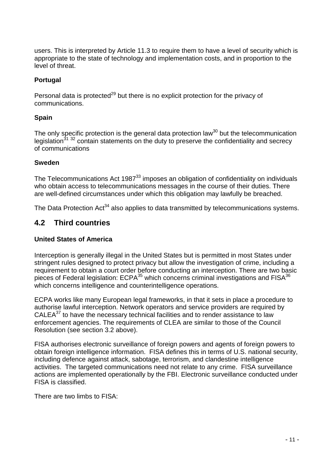users. This is interpreted by Article 11.3 to require them to have a level of security which is appropriate to the state of technology and implementation costs, and in proportion to the level of threat.

#### **Portugal**

Personal data is protected<sup>29</sup> but there is no explicit protection for the privacy of communications.

#### **Spain**

The only specific protection is the general data protection law<sup>30</sup> but the telecommunication legislation<sup>31</sup><sup>32</sup> contain statements on the duty to preserve the confidentiality and secrecy of communications

#### **Sweden**

The Telecommunications Act 1987 $33$  imposes an obligation of confidentiality on individuals who obtain access to telecommunications messages in the course of their duties. There are well-defined circumstances under which this obligation may lawfully be breached.

The Data Protection Act<sup>34</sup> also applies to data transmitted by telecommunications systems.

### **4.2 Third countries**

#### **United States of America**

Interception is generally illegal in the United States but is permitted in most States under stringent rules designed to protect privacy but allow the investigation of crime, including a requirement to obtain a court order before conducting an interception. There are two basic pieces of Federal legislation: ECPA<sup>35</sup> which concerns criminal investigations and FISA<sup>36</sup> which concerns intelligence and counterintelligence operations.

ECPA works like many European legal frameworks, in that it sets in place a procedure to authorise lawful interception. Network operators and service providers are required by  $CALEA<sup>37</sup>$  to have the necessary technical facilities and to render assistance to law enforcement agencies. The requirements of CLEA are similar to those of the Council Resolution (see section 3.2 above).

FISA authorises electronic surveillance of foreign powers and agents of foreign powers to obtain foreign intelligence information. FISA defines this in terms of U.S. national security, including defence against attack, sabotage, terrorism, and clandestine intelligence activities. The targeted communications need not relate to any crime. FISA surveillance actions are implemented operationally by the FBI. Electronic surveillance conducted under FISA is classified.

There are two limbs to FISA: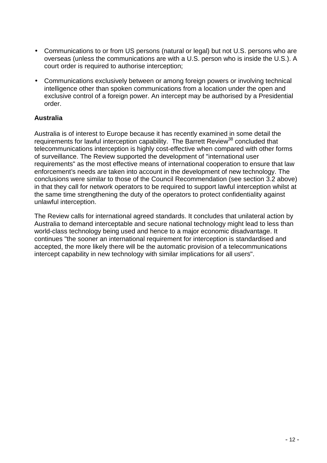- Communications to or from US persons (natural or legal) but not U.S. persons who are overseas (unless the communications are with a U.S. person who is inside the U.S.). A court order is required to authorise interception;
- Communications exclusively between or among foreign powers or involving technical intelligence other than spoken communications from a location under the open and exclusive control of a foreign power. An intercept may be authorised by a Presidential order.

#### **Australia**

Australia is of interest to Europe because it has recently examined in some detail the requirements for lawful interception capability. The Barrett Review<sup>38</sup> concluded that telecommunications interception is highly cost-effective when compared with other forms of surveillance. The Review supported the development of "international user requirements" as the most effective means of international cooperation to ensure that law enforcement's needs are taken into account in the development of new technology. The conclusions were similar to those of the Council Recommendation (see section 3.2 above) in that they call for network operators to be required to support lawful interception whilst at the same time strengthening the duty of the operators to protect confidentiality against unlawful interception.

The Review calls for international agreed standards. It concludes that unilateral action by Australia to demand interceptable and secure national technology might lead to less than world-class technology being used and hence to a major economic disadvantage. It continues "the sooner an international requirement for interception is standardised and accepted, the more likely there will be the automatic provision of a telecommunications intercept capability in new technology with similar implications for all users".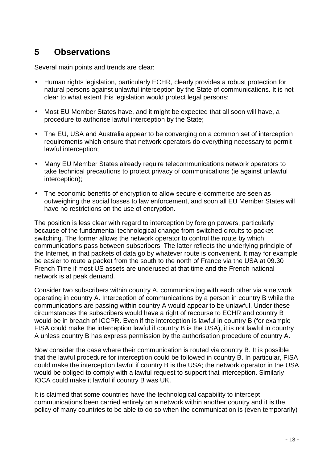# **5 Observations**

Several main points and trends are clear:

- Human rights legislation, particularly ECHR, clearly provides a robust protection for natural persons against unlawful interception by the State of communications. It is not clear to what extent this legislation would protect legal persons:
- Most EU Member States have, and it might be expected that all soon will have, a procedure to authorise lawful interception by the State;
- The EU, USA and Australia appear to be converging on a common set of interception requirements which ensure that network operators do everything necessary to permit lawful interception;
- Many EU Member States already require telecommunications network operators to take technical precautions to protect privacy of communications (ie against unlawful interception);
- The economic benefits of encryption to allow secure e-commerce are seen as outweighing the social losses to law enforcement, and soon all EU Member States will have no restrictions on the use of encryption.

The position is less clear with regard to interception by foreign powers, particularly because of the fundamental technological change from switched circuits to packet switching. The former allows the network operator to control the route by which communications pass between subscribers. The latter reflects the underlying principle of the Internet, in that packets of data go by whatever route is convenient. It may for example be easier to route a packet from the south to the north of France via the USA at 09.30 French Time if most US assets are underused at that time and the French national network is at peak demand.

Consider two subscribers within country A, communicating with each other via a network operating in country A. Interception of communications by a person in country B while the communications are passing within country A would appear to be unlawful. Under these circumstances the subscribers would have a right of recourse to ECHR and country B would be in breach of ICCPR. Even if the interception is lawful in country B (for example FISA could make the interception lawful if country B is the USA), it is not lawful in country A unless country B has express permission by the authorisation procedure of country A.

Now consider the case where their communication is routed via country B. It is possible that the lawful procedure for interception could be followed in country B. In particular, FISA could make the interception lawful if country B is the USA; the network operator in the USA would be obliged to comply with a lawful request to support that interception. Similarly IOCA could make it lawful if country B was UK.

It is claimed that some countries have the technological capability to intercept communications been carried entirely on a network within another country and it is the policy of many countries to be able to do so when the communication is (even temporarily)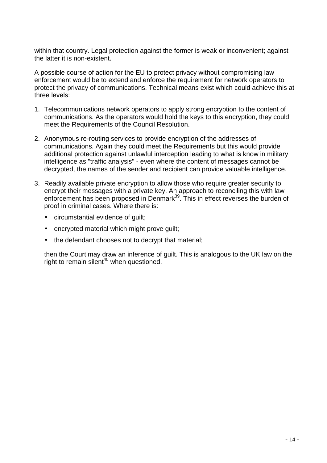within that country. Legal protection against the former is weak or inconvenient; against the latter it is non-existent.

A possible course of action for the EU to protect privacy without compromising law enforcement would be to extend and enforce the requirement for network operators to protect the privacy of communications. Technical means exist which could achieve this at three levels:

- 1. Telecommunications network operators to apply strong encryption to the content of communications. As the operators would hold the keys to this encryption, they could meet the Requirements of the Council Resolution.
- 2. Anonymous re-routing services to provide encryption of the addresses of communications. Again they could meet the Requirements but this would provide additional protection against unlawful interception leading to what is know in military intelligence as "traffic analysis" - even where the content of messages cannot be decrypted, the names of the sender and recipient can provide valuable intelligence.
- 3. Readily available private encryption to allow those who require greater security to encrypt their messages with a private key. An approach to reconciling this with law enforcement has been proposed in Denmark<sup>39</sup>. This in effect reverses the burden of proof in criminal cases. Where there is:
	- circumstantial evidence of guilt;
	- encrypted material which might prove guilt;
	- the defendant chooses not to decrypt that material;

then the Court may draw an inference of guilt. This is analogous to the UK law on the right to remain silent<sup>40</sup> when questioned.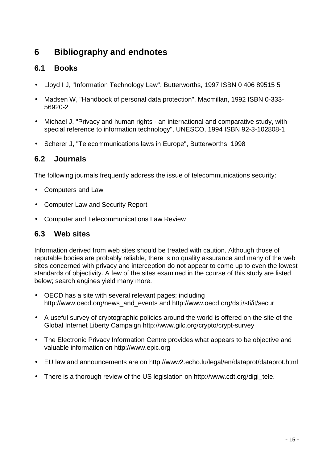# **6 Bibliography and endnotes**

# **6.1 Books**

- Lloyd I J, "Information Technology Law", Butterworths, 1997 ISBN 0 406 89515 5
- Madsen W, "Handbook of personal data protection", Macmillan, 1992 ISBN 0-333- 56920-2
- Michael J, "Privacy and human rights an international and comparative study, with special reference to information technology", UNESCO, 1994 ISBN 92-3-102808-1
- Scherer J, "Telecommunications laws in Europe", Butterworths, 1998

## **6.2 Journals**

The following journals frequently address the issue of telecommunications security:

- Computers and Law
- Computer Law and Security Report
- Computer and Telecommunications Law Review

### **6.3 Web sites**

Information derived from web sites should be treated with caution. Although those of reputable bodies are probably reliable, there is no quality assurance and many of the web sites concerned with privacy and interception do not appear to come up to even the lowest standards of objectivity. A few of the sites examined in the course of this study are listed below; search engines yield many more.

- OECD has a site with several relevant pages; including http://www.oecd.org/news\_and\_events and http://www.oecd.org/dsti/sti/it/secur
- A useful survey of cryptographic policies around the world is offered on the site of the Global Internet Liberty Campaign http://www.gilc.org/crypto/crypt-survey
- The Electronic Privacy Information Centre provides what appears to be objective and valuable information on http://www.epic.org
- EU law and announcements are on http://www2.echo.lu/legal/en/dataprot/dataprot.html
- There is a thorough review of the US legislation on http://www.cdt.org/digi\_tele.